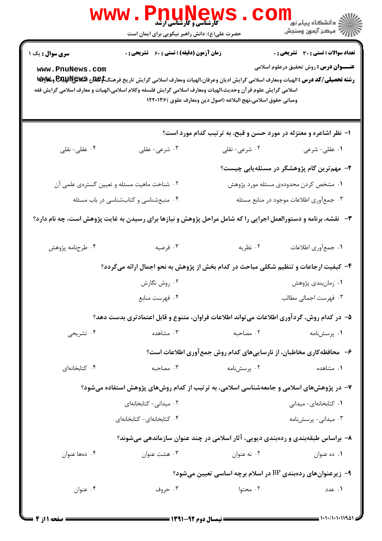|                                           | <b>WWW.Pnunews</b><br>حضرت علی(ع): دانش راهبر نیکویی برای ایمان است                                                                                                                                                                                                                                   |                                                                      | ر دانشگاه پيام نور ■<br>ار دانشگاه پيام نور                                            |
|-------------------------------------------|-------------------------------------------------------------------------------------------------------------------------------------------------------------------------------------------------------------------------------------------------------------------------------------------------------|----------------------------------------------------------------------|----------------------------------------------------------------------------------------|
| <b>سری سوال :</b> یک ۱<br>www.PnuNews.com | <b>زمان آزمون (دقیقه) : تستی : 60 ٪ تشریحی : 0</b><br>رشته تحصيلي/كد درس : الهيات ومعارف اسلامي گرايش اديان وعرفان،الهيات ومعارف اسلامي گرايش تاريخ فرهنگ <del>\$EQU</del> R و&wy و&wy<br>اسلامی گرایش علوم قر آن وحدیث،الهیات ومعارف اسلامی گرایش فلسفه وکلام اسلامی،الهیات و معارف اسلامی گرایش فقه | ومباني حقوق اسلامي،نهج البلاغه (اصول دين ومعارف علوي )١٢٢٠١٣۶        | تعداد سوالات : تستى : 30 - تشريحي : 0<br><b>عنـــوان درس :</b> روش تحقیق درعلوم اسلامی |
|                                           |                                                                                                                                                                                                                                                                                                       | ۱– نظر اشاعره و معتزله در مورد حسن و قبح، به ترتیب کدام مورد است؟    |                                                                                        |
| ۰۴ عقلی- نقلی                             | ۰۳ شرعی- عقلی                                                                                                                                                                                                                                                                                         | ۰۲ شرعی- نقلی                                                        | ۰۱ عقلی- شرعی                                                                          |
|                                           |                                                                                                                                                                                                                                                                                                       |                                                                      | ۲– مهم <i>ت</i> رین گام پژوهشگر در مسئلهیابی چیست؟                                     |
|                                           | ۰۲ شناخت ماهیت مسئله و تعیین گسترهی علمی آن                                                                                                                                                                                                                                                           |                                                                      | ۱. مشخص کردن محدودهی مسئله مورد پژوهش                                                  |
|                                           | ۰۴ منبعشناسی و کتابشناسی در باب مسئله                                                                                                                                                                                                                                                                 |                                                                      | ۰۳ جمعآوری اطلاعات موجود در منابع مسئله                                                |
|                                           | ۳- گنقشه، برنامه و دستورالعمل اجرایی را که شامل مراحل پژوهش و نیازها برای رسیدن به غایت پژوهش است، چه نام دارد؟                                                                                                                                                                                       |                                                                      |                                                                                        |
| ۰۴ طرحنامه پژوهش                          | ۰۳ فرضیه                                                                                                                                                                                                                                                                                              | ۰۲ نظریه                                                             | ٠١ جمعأوري اطلاعات                                                                     |
|                                           | ۴- کیفیت ارجاعات و تنظیم شکلی مباحث در کدام بخش از پژوهش به نحو اجمال ارائه میگردد؟                                                                                                                                                                                                                   |                                                                      |                                                                                        |
|                                           | ۰۲ روش نگارش                                                                                                                                                                                                                                                                                          |                                                                      | ٠١ زمان بندى پژوهش                                                                     |
|                                           | ۰۴ فهرست منابع                                                                                                                                                                                                                                                                                        |                                                                      | ۰۳ فهرست اجمالی مطالب                                                                  |
|                                           | ۵– در کدام روش، گردآوری اطلاعات می¤واند اطلاعات فراوان، متنوع و قابل اعتمادتری بدست دهد؟                                                                                                                                                                                                              |                                                                      |                                                                                        |
| ۰۴ تشریحی                                 | ۰۳ مشاهده                                                                                                                                                                                                                                                                                             | ٠٢ مصاحبه                                                            | ۰۱ پرسشنامه                                                                            |
|                                           |                                                                                                                                                                                                                                                                                                       | ۶- محافظه کاری مخاطبان، از نارساییهای کدام روش جمع آوری اطلاعات است؟ |                                                                                        |
| ۰۴ کتابخانهای                             | ۰۳ مصاحبه                                                                                                                                                                                                                                                                                             | ۰۲ پرسشنامه                                                          | ۰۱ مشاهده                                                                              |
|                                           | ۷– در پژوهشهای اسلامی و جامعهشناسی اسلامی، به ترتیب از کدام روشهای پژوهش استفاده میشود؟                                                                                                                                                                                                               |                                                                      |                                                                                        |
|                                           | ۰۲ میدانی- کتابخانهای                                                                                                                                                                                                                                                                                 |                                                                      | ٠١ كتابخانهاى- ميدانى                                                                  |
|                                           | ۰۴ کتابخانهای- کتابخانهای                                                                                                                                                                                                                                                                             |                                                                      | ۰۳ میدانی- پرسشنامه                                                                    |
|                                           | ۸– براساس طبقهبندی و ردهبندی دیویی، آثار اسلامی در چند عنوان سازماندهی میشوند؟                                                                                                                                                                                                                        |                                                                      |                                                                                        |
| ۰۴ دهها عنوان                             | ۰۳ هشت عنوان                                                                                                                                                                                                                                                                                          | ۰۲ نه عنوان                                                          | ۰۱ ده عنوان                                                                            |
|                                           |                                                                                                                                                                                                                                                                                                       | ۹− زیرعنوانهای ردهبندی BP در اسلام برچه اساسی تعیین میشود؟           |                                                                                        |
|                                           |                                                                                                                                                                                                                                                                                                       |                                                                      |                                                                                        |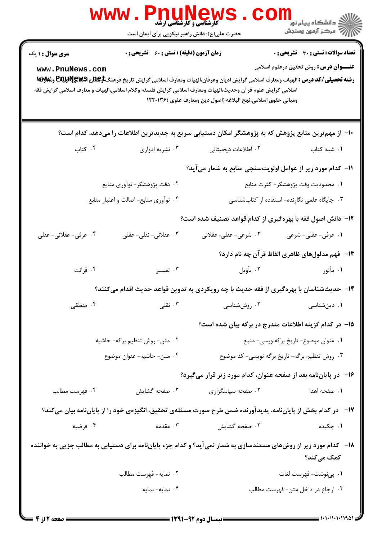| سری سوال : ۱ یک       | <b>زمان آزمون (دقیقه) : تستی : 60 ٪ تشریحی : 0</b> |                                                                                                                                                                                                                                                                                                                  | <b>تعداد سوالات : تستی : 30 ٪ تشریحی : 0</b>          |
|-----------------------|----------------------------------------------------|------------------------------------------------------------------------------------------------------------------------------------------------------------------------------------------------------------------------------------------------------------------------------------------------------------------|-------------------------------------------------------|
| www.PnuNews.com       |                                                    | رشته تحصيلي/كد درس : الهيات ومعارف اسلامي گرايش اديان وعرفان،الهيات ومعارف اسلامي گرايش تاريخ فرهنگ <del>\$EQU</del> R و&wy و&wy<br>اسلامی گرایش علوم قر آن وحدیث،الهیات ومعارف اسلامی گرایش فلسفه وکلام اسلامی،الهیات و معارف اسلامی گرایش فقه<br>ومباني حقوق اسلامي،نهج البلاغه (اصول دين ومعارف علوي )١٢٢٠١٣۶ | <b>عنـــوان درس :</b> روش تحقیق درعلوم اسلامی         |
|                       |                                                    | ∙۱− از مهمترین منابع پژوهش که به پژوهشگر امکان دستیابی سریع به جدیدترین اطلاعات را میدهد، کدام است؟                                                                                                                                                                                                              |                                                       |
| ۰۴ کتاب               | ۰۳ نشریه ادواری                                    | ۲. اطلاعات دیجیتالی                                                                                                                                                                                                                                                                                              | ٠. شبه کتاب                                           |
|                       |                                                    | 11– کدام مورد زیر از عوامل اولویتسنجی منابع به شمار میآید؟                                                                                                                                                                                                                                                       |                                                       |
|                       | ۲. دقت پژوهشگر- نوآوري منابع                       |                                                                                                                                                                                                                                                                                                                  | ٠١ محدوديت وقت پژوهشگر- كثرت منابع                    |
|                       | ۰۴ نوآوری منابع- اصالت و اعتبار منابع              |                                                                                                                                                                                                                                                                                                                  | ۰۳ جایگاه علمی نگارنده- استفاده از کتابشناسی          |
|                       |                                                    | ۱۲- دانش اصول فقه با بهرهگیری از کدام قواعد تصنیف شده است؟                                                                                                                                                                                                                                                       |                                                       |
| ۰۴ عرفی- عقلانی- عقلی | ۰۳ عقلانی- نقلی- عقلی                              | ۰۲ شرعی- عقلی، عقلانی                                                                                                                                                                                                                                                                                            | ۰۱ عرفی- عقلی- شرعی                                   |
|                       |                                                    |                                                                                                                                                                                                                                                                                                                  | ۱۳–  فهم مدلولهای ظاهری الفاظ قرآن چه نام دارد؟       |
| ۰۴ قرائت              | ۰۳ تفسیر                                           | ٢. تأويل                                                                                                                                                                                                                                                                                                         | ۰۱ مأثور                                              |
|                       |                                                    | ۱۴– حدیثشناسان با بهرهگیری از فقه حدیث با چه رویکردی به تدوین قواعد حدیث اقدام میکنند؟                                                                                                                                                                                                                           |                                                       |
| ۰۴ منطقی              | ۰۳ نقلی $\cdot$                                    | ۰۲ روششناسی                                                                                                                                                                                                                                                                                                      | ۰۱ دینشناسی                                           |
|                       |                                                    |                                                                                                                                                                                                                                                                                                                  | ۱۵– در کدام گزینه اطلاعات مندرج در برگه بیان شده است؟ |
|                       | ٢. متن- روش تنظيم برگه- حاشيه                      |                                                                                                                                                                                                                                                                                                                  | ۰۱ عنوان موضوع- تاريخ برگەنويسى- منبع                 |
|                       | ۴. متن- حاشيه- عنوان موضوع                         |                                                                                                                                                                                                                                                                                                                  | ۰۳ روش تنظیم برگه- تاریخ برگه نویسی- کد موضوع         |
|                       |                                                    | ۱۶– در پایاننامه بعد از صفحه عنوان، کدام مورد زیر قرار میگیرد؟                                                                                                                                                                                                                                                   |                                                       |
| ۰۴ فهرست مطالب        | ۰۳ صفحه گشایش                                      | ۰۲ صفحه سپاسگزاری                                                                                                                                                                                                                                                                                                | ۰۱ صفحه اهدا                                          |
|                       |                                                    | ۱۷- در کدام بخش از پایاننامه، پدیدآورنده ضمن طرح صورت مسئلهی تحقیق، انگیزهی خود را از پایاننامه بیان میکند؟                                                                                                                                                                                                      |                                                       |
| ۰۴ فرضیه              | ۰۳ مقدمه                                           | ۰۲ صفحه گشایش                                                                                                                                                                                                                                                                                                    | ۰۱ چکیده                                              |
|                       |                                                    | <b>۱۸</b> - کدام مورد زیر از روشهای مستندسازی به شمار نمیآید؟ و کدام جزء پایاننامه برای دستیابی به مطالب جزیی به خواننده                                                                                                                                                                                         | کمک میکند؟                                            |
|                       | ٠٢ نمايه-فهرست مطالب                               |                                                                                                                                                                                                                                                                                                                  | ٠١. پىنوشت- فهرست لغات                                |
|                       |                                                    |                                                                                                                                                                                                                                                                                                                  |                                                       |

 $= 1.11/1.111921$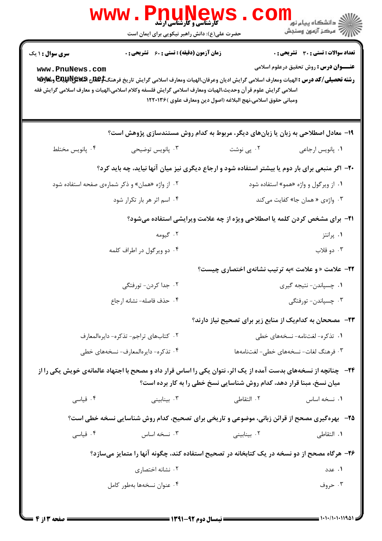|                                           | www.Pn<br><b>کارشناسی و کارشناسی ارشد</b><br>حضرت علی(ع): دانش راهبر نیکویی برای ایمان است                                                                                                                                                                                                            |                                                                                    | ڪ دانشڪاه پيام نور<br>ا∛ مرڪز آزمون وسنڊش                                                     |
|-------------------------------------------|-------------------------------------------------------------------------------------------------------------------------------------------------------------------------------------------------------------------------------------------------------------------------------------------------------|------------------------------------------------------------------------------------|-----------------------------------------------------------------------------------------------|
| <b>سری سوال : ۱ یک</b><br>www.PnuNews.com | <b>زمان آزمون (دقیقه) : تستی : 60 ٪ تشریحی : 0</b><br>رشته تحصیلی/کد درس : الهیات ومعارف اسلامی گرایش ادیان وعرفان،الهیات ومعارف اسلامی گرایش تاریخ فرهنگ <del>\$EQU</del> R و&wy و&wy<br>اسلامی گرایش علوم قر آن وحدیث،الهیات ومعارف اسلامی گرایش فلسفه وکلام اسلامی،الهیات و معارف اسلامی گرایش فقه | ومباني حقوق اسلامي،نهج البلاغه (اصول دين ومعارف علوي )١٢٢٠١٣۶                      | <b>تعداد سوالات : تستی : 30 ٪ تشریحی : 0</b><br><b>عنـــوان درس :</b> روش تحقیق درعلوم اسلامی |
|                                           | ۱۹- معادل اصطلاحی به زبان یا زبانهای دیگر، مربوط به کدام روش مستندسازی پژوهش است؟                                                                                                                                                                                                                     |                                                                                    |                                                                                               |
| ۰۴ پانویس مختلط                           | ۰۳ پانویس توضیحی                                                                                                                                                                                                                                                                                      | ۰۲ پی نوشت                                                                         | ٠١. پانويس ارجاعي                                                                             |
|                                           | ۲۰- اگر منبعی برای بار دوم یا بیشتر استفاده شود و ارجاع دیگری نیز میان آنها نیاید، چه باید کرد؟                                                                                                                                                                                                       |                                                                                    |                                                                                               |
|                                           | ۰۲ از واژه «همان» و ذکر شمارهی صفحه استفاده شود                                                                                                                                                                                                                                                       |                                                                                    | ۰۱ از ویرگول و واژه «همو» استفاده شود                                                         |
|                                           | ۰۴ اسم اثر هر بار تکرار شود                                                                                                                                                                                                                                                                           |                                                                                    | ۰۳ واژهي « همان جا» كفايت مي كند                                                              |
|                                           |                                                                                                                                                                                                                                                                                                       | <b>۲۱</b> - برای مشخص کردن کلمه یا اصطلاحی ویژه از چه علامت ویرایشی استفاده میشود؟ |                                                                                               |
|                                           | ۰۲ گیومه                                                                                                                                                                                                                                                                                              |                                                                                    | ۰۱ پرانتز                                                                                     |
|                                           | ۰۴ دو ویرگول در اطراف کلمه                                                                                                                                                                                                                                                                            |                                                                                    | ۰۳ دو قلاب                                                                                    |
|                                           |                                                                                                                                                                                                                                                                                                       | <b>۲۲- علامت « و علامت »به ترتیب نشانهی اختصاری چیست؟</b>                          |                                                                                               |
|                                           | ۰۲ جدا کردن- تورفتگی                                                                                                                                                                                                                                                                                  |                                                                                    | ۰۱ چسپاندن- نتیجه گیری                                                                        |
|                                           | ۰۴ حذف فاصله- نشانه ارجاع                                                                                                                                                                                                                                                                             |                                                                                    | ۰۳ چسپاندن- تورفتگی                                                                           |
|                                           |                                                                                                                                                                                                                                                                                                       | ۲۳− مصححان به کدام یک از منابع زیر برای تصحیح نیاز دارند؟                          |                                                                                               |
| ٢. كتابهاى تراجم-تذكره- دايرهالمعارف      |                                                                                                                                                                                                                                                                                                       | ۰۱ تذکره- لغتنامه- نسخههای خطی                                                     |                                                                                               |
|                                           | ۰۴ تذکره- دایرهالمعارف- نسخههای خطی                                                                                                                                                                                                                                                                   |                                                                                    | ۰۳ فرهنگ لغات- نسخههای خطی- لغتنامهها                                                         |
|                                           | <b>34</b> - پچنانچه از نسخههای بدست آمده از یک اثر، نتوان یکی را اساس قرار داد و مصحح با اجتهاد عالمانهی خویش یکی را از                                                                                                                                                                               | میان نسخ، مبنا قرار دهد، کدام روش شناسایی نسخ خطی را به کار برده است؟              |                                                                                               |
| ۰۴ قياسي                                  | ۰۳ بینابینی                                                                                                                                                                                                                                                                                           | ۰۲ التقاطی                                                                         | ٠١. نسخه اساس                                                                                 |
|                                           | <b>۲۵</b> - بهرهگیری مصحح از قرائن زبانی، موضوعی و تاریخی برای تصحیح، کدام روش شناسایی نسخه خطی است؟                                                                                                                                                                                                  |                                                                                    |                                                                                               |
| ۰۴ قیاسی                                  | ۰۳ نسخه اساس                                                                                                                                                                                                                                                                                          | ۰۲ بینابینی                                                                        | <b>۱.</b> التقاطي                                                                             |
|                                           | ۲۶- هرگاه مصحح از دو نسخه در یک کتابخانه در تصحیح استفاده کند، چگونه آنها را متمایز میسازد؟                                                                                                                                                                                                           |                                                                                    |                                                                                               |
|                                           | ۰۲ نشانه اختصاری                                                                                                                                                                                                                                                                                      |                                                                                    | ۰۱ عدد                                                                                        |
|                                           | ۰۴ عنوان نسخهها بهطور كامل                                                                                                                                                                                                                                                                            |                                                                                    | ۰۳ حروف                                                                                       |
|                                           |                                                                                                                                                                                                                                                                                                       |                                                                                    |                                                                                               |